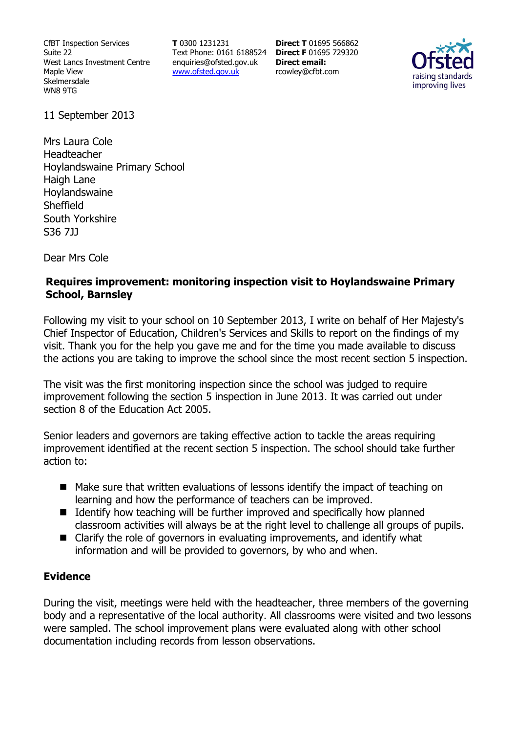CfBT Inspection Services Suite 22 West Lancs Investment Centre Maple View Skelmersdale WN8 9TG

**T** 0300 1231231 Text Phone: 0161 6188524 **Direct F** 01695 729320 enquiries@ofsted.gov.uk www.ofsted.gov.uk

**Direct T** 01695 566862 **Direct email:**  rcowley@cfbt.com



11 September 2013

Mrs Laura Cole Headteacher Hoylandswaine Primary School Haigh Lane Hoylandswaine Sheffield South Yorkshire S36 7JJ

Dear Mrs Cole

## **Requires improvement: monitoring inspection visit to Hoylandswaine Primary School, Barnsley**

Following my visit to your school on 10 September 2013, I write on behalf of Her Majesty's Chief Inspector of Education, Children's Services and Skills to report on the findings of my visit. Thank you for the help you gave me and for the time you made available to discuss the actions you are taking to improve the school since the most recent section 5 inspection.

The visit was the first monitoring inspection since the school was judged to require improvement following the section 5 inspection in June 2013. It was carried out under section 8 of the Education Act 2005.

Senior leaders and governors are taking effective action to tackle the areas requiring improvement identified at the recent section 5 inspection. The school should take further action to:

- Make sure that written evaluations of lessons identify the impact of teaching on learning and how the performance of teachers can be improved.
- $\blacksquare$  Identify how teaching will be further improved and specifically how planned classroom activities will always be at the right level to challenge all groups of pupils.
- Clarify the role of governors in evaluating improvements, and identify what information and will be provided to governors, by who and when.

## **Evidence**

During the visit, meetings were held with the headteacher, three members of the governing body and a representative of the local authority. All classrooms were visited and two lessons were sampled. The school improvement plans were evaluated along with other school documentation including records from lesson observations.